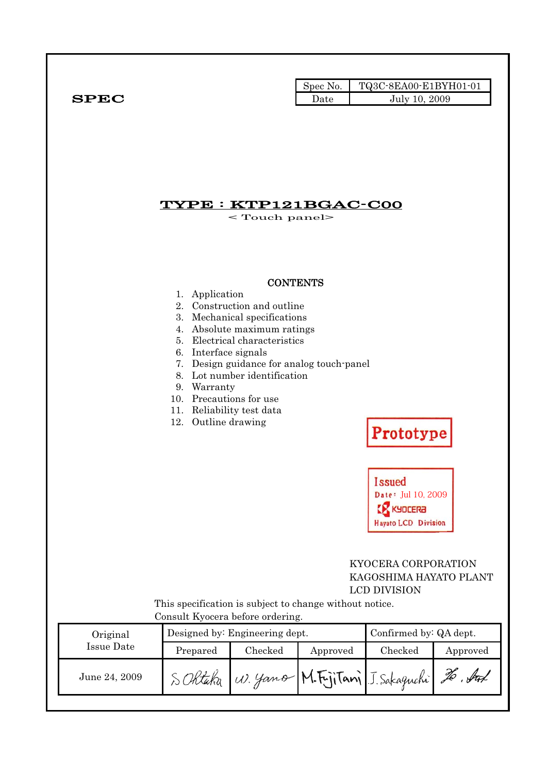|              | Spec No. |               |
|--------------|----------|---------------|
| ${\bf SPEC}$ | Date     | July 10, 2009 |

## TYPE : KTP121BGAC-C00

< Touch panel>

#### **CONTENTS**

- 1. Application
- 2. Construction and outline
- 3. Mechanical specifications
- 4. Absolute maximum ratings
- 5. Electrical characteristics
- 6. Interface signals
- 7. Design guidance for analog touch-panel
- 8. Lot number identification
- 9. Warranty
- 10. Precautions for use
- 11. Reliability test data
- 12. Outline drawing

# Prototype

**Issued** Date: Jul 10, 2009 **EX KYDCERA** Hayato LCD Division

#### KYOCERA CORPORATION KAGOSHIMA HAYATO PLANT LCD DIVISION

This specification is subject to change without notice. Consult Kyocera before ordering.

| Original      |          | Designed by: Engineering dept. |          | Confirmed by: QA dept.                     |          |
|---------------|----------|--------------------------------|----------|--------------------------------------------|----------|
| Issue Date    | Prepared | Checked                        | Approved | Checked                                    | Approved |
| June 24, 2009 |          |                                |          | SORtaka W. yamo M.Frjitani J. Sakaguchi 20 |          |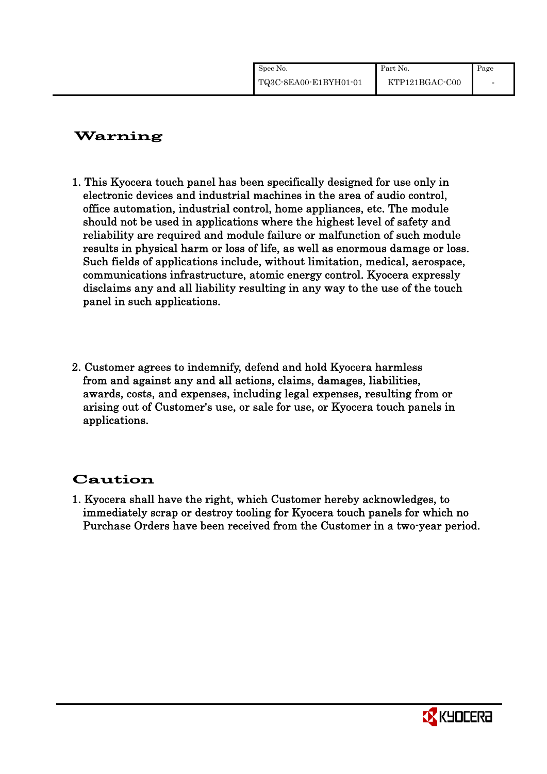| Spec No.              | Part No.       | Page |
|-----------------------|----------------|------|
| TQ3C-8EA00-E1BYH01-01 | KTP121BGAC-C00 |      |

# Warning

- 1. This Kyocera touch panel has been specifically designed for use only in electronic devices and industrial machines in the area of audio control, office automation, industrial control, home appliances, etc. The module should not be used in applications where the highest level of safety and reliability are required and module failure or malfunction of such module results in physical harm or loss of life, as well as enormous damage or loss. Such fields of applications include, without limitation, medical, aerospace, communications infrastructure, atomic energy control. Kyocera expressly disclaims any and all liability resulting in any way to the use of the touch panel in such applications.
- 2. Customer agrees to indemnify, defend and hold Kyocera harmless from and against any and all actions, claims, damages, liabilities, awards, costs, and expenses, including legal expenses, resulting from or arising out of Customer's use, or sale for use, or Kyocera touch panels in applications.

# Caution

1. Kyocera shall have the right, which Customer hereby acknowledges, to immediately scrap or destroy tooling for Kyocera touch panels for which no Purchase Orders have been received from the Customer in a two-year period.

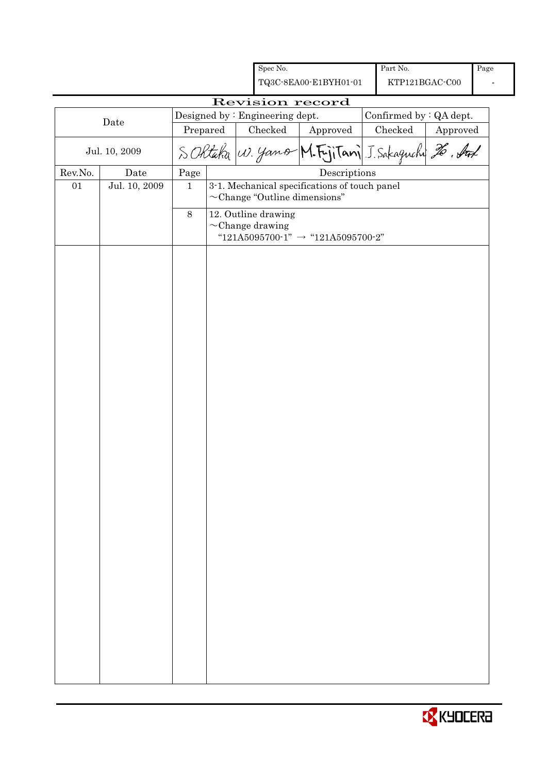|         |               |              |  |  | Spec No.                                     |                                                                                     | Part No.                |          | Page |
|---------|---------------|--------------|--|--|----------------------------------------------|-------------------------------------------------------------------------------------|-------------------------|----------|------|
|         |               |              |  |  |                                              | TQ3C-8EA00-E1BYH01-01                                                               | KTP121BGAC-C00          |          |      |
|         |               |              |  |  |                                              | Revision record                                                                     |                         |          |      |
|         | Date          |              |  |  | Designed by : Engineering dept.              |                                                                                     | Confirmed by : QA dept. |          |      |
|         |               | Prepared     |  |  | Checked                                      | Approved                                                                            | Checked                 | Approved |      |
|         | Jul. 10, 2009 |              |  |  |                                              | S Oktaka W. yamo M. Fujitani J. Sakaguchi 26. Auf                                   |                         |          |      |
| Rev.No. | Date          | Page         |  |  |                                              | Descriptions                                                                        |                         |          |      |
| 01      | Jul. 10, 2009 | $\mathbf{1}$ |  |  |                                              | 3-1. Mechanical specifications of touch panel<br>$\sim$ Change "Outline dimensions" |                         |          |      |
|         |               | $8\,$        |  |  | 12. Outline drawing<br>$\sim$ Change drawing | "121A5095700-1" $\rightarrow$ "121A5095700-2"                                       |                         |          |      |
|         |               |              |  |  |                                              |                                                                                     |                         |          |      |
|         |               |              |  |  |                                              |                                                                                     |                         |          |      |
|         |               |              |  |  |                                              |                                                                                     |                         |          |      |
|         |               |              |  |  |                                              |                                                                                     |                         |          |      |
|         |               |              |  |  |                                              |                                                                                     |                         |          |      |

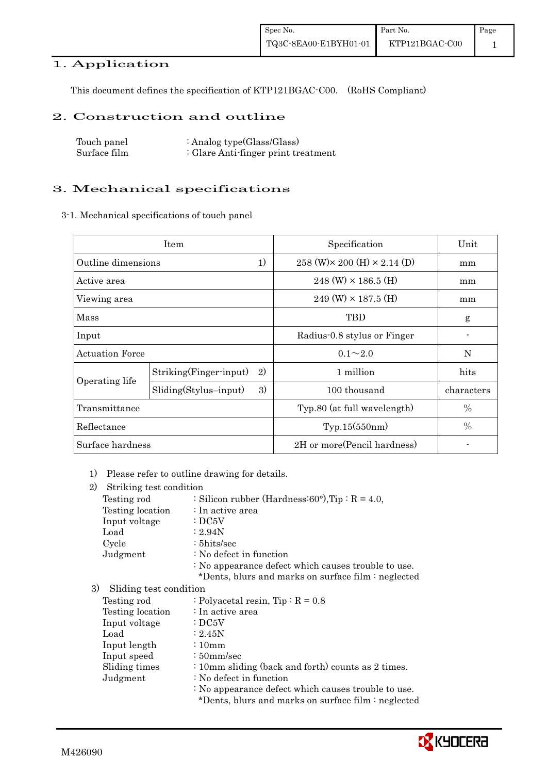## 1. Application

This document defines the specification of KTP121BGAC-C00. (RoHS Compliant)

#### 2. Construction and outline

| Touch panel  | : Analog type $(Glass/Glass)$       |
|--------------|-------------------------------------|
| Surface film | : Glare Anti-finger print treatment |

#### 3. Mechanical specifications

3-1. Mechanical specifications of touch panel

|                          | Item                          | Specification                                | Unit          |
|--------------------------|-------------------------------|----------------------------------------------|---------------|
| 1)<br>Outline dimensions |                               | $258$ (W) $\times$ 200 (H) $\times$ 2.14 (D) | mm            |
| Active area              |                               | $248$ (W) $\times$ 186.5 (H)                 | mm            |
| Viewing area             |                               | $249 \text{ (W)} \times 187.5 \text{ (H)}$   | mm            |
| Mass                     |                               | TBD                                          | g             |
| Input                    |                               | Radius-0.8 stylus or Finger                  |               |
| <b>Actuation Force</b>   |                               | $0.1 \sim 2.0$                               | N             |
|                          | 2)<br>Striking(Finger-input)  | 1 million                                    | hits          |
| Operating life           | 3)<br>$Sliding(Stylus-input)$ | 100 thousand                                 | characters    |
| Transmittance            |                               | Typ.80 (at full wavelength)                  | $\frac{0}{0}$ |
| Reflectance              |                               | Typ.15(550nm)                                | $\frac{0}{0}$ |
| Surface hardness         |                               | 2H or more (Pencil hardness)                 |               |

1) Please refer to outline drawing for details.

| 2)<br>Striking test condition |                                                            |
|-------------------------------|------------------------------------------------------------|
| Testing rod                   | : Silicon rubber (Hardness: $60^{\circ}$ ), Tip : R = 4.0, |
| Testing location              | : In active area                                           |
| Input voltage                 | :DC5V                                                      |
| Load                          | : 2.94N                                                    |
| Cycle                         | $: 5$ hits/sec                                             |
| Judgment                      | : No defect in function                                    |
|                               | : No appearance defect which causes trouble to use.        |
|                               | *Dents, blurs and marks on surface film : neglected        |
| 3)<br>Sliding test condition  |                                                            |
| Testing rod                   | : Polyacetal resin, $Tip: R = 0.8$                         |
| Testing location              | : In active area                                           |
| Input voltage                 | $\cdot$ DC5V                                               |
| Load                          | : 2.45N                                                    |
| Input length                  | $\frac{10}{2}$                                             |
| Input speed                   | $\frac{150}{\text{mm/sec}}$                                |
| Sliding times                 | : 10mm sliding (back and forth) counts as 2 times.         |
| Judgment                      | : No defect in function                                    |
|                               | : No appearance defect which causes trouble to use.        |
|                               | *Dents, blurs and marks on surface film : neglected        |
|                               |                                                            |

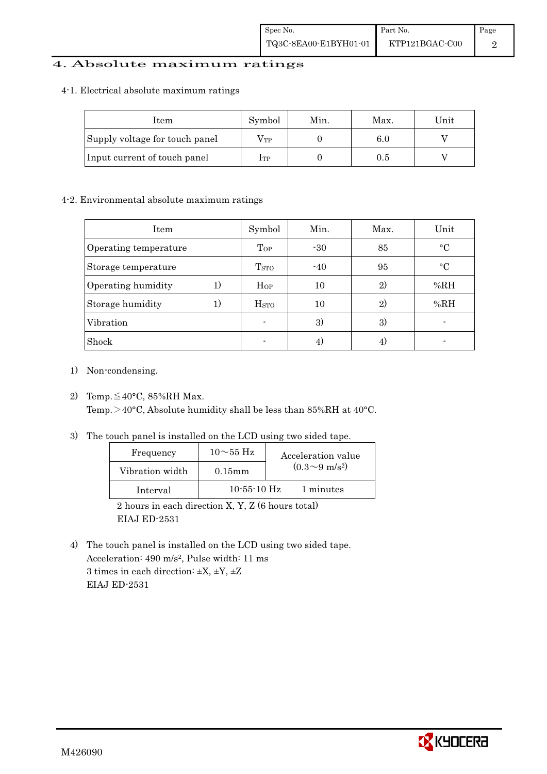#### 4. Absolute maximum ratings

#### 4-1. Electrical absolute maximum ratings

| Item                           | Symbol       | Min. | Max. | $\operatorname{Unit}$ |
|--------------------------------|--------------|------|------|-----------------------|
| Supply voltage for touch panel | $\rm V_{TP}$ |      | 6.0  |                       |
| Input current of touch panel   | $_{\rm 1TP}$ |      | 0.5  |                       |

#### 4-2. Environmental absolute maximum ratings

| <b>Item</b>           | Symbol                  | Min.           | Max. | Unit      |
|-----------------------|-------------------------|----------------|------|-----------|
| Operating temperature | Top                     | $-30$          | 85   | $\circ$ C |
| Storage temperature   | T <sub>STO</sub>        | $-40$          | 95   | $\circ$ C |
| Operating humidity    | $H_{OP}$                | 10             | 2)   | %RH       |
| Storage humidity      | <b>H</b> <sub>STO</sub> | 10             | 2)   | %RH       |
| Vibration             | ۰                       | 3)             | 3)   |           |
| Shock                 | $\blacksquare$          | $\overline{4}$ |      |           |

- 1) Non-condensing.
- 2) Temp.  $\leq 40^{\circ}$ C, 85%RH Max. Temp. $>40^{\circ}$ C, Absolute humidity shall be less than 85%RH at 40°C.
- 3) The touch panel is installed on the LCD using two sided tape.

| Frequency       | $10\sim55$ Hz | Acceleration value         |
|-----------------|---------------|----------------------------|
| Vibration width | $0.15$ mm     | $(0.3{\sim}9~{\rm m/s^2})$ |
| Interval        | $10-55-10$ Hz | 1 minutes                  |

2 hours in each direction X, Y, Z (6 hours total) EIAJ ED-2531

4) The touch panel is installed on the LCD using two sided tape. Acceleration: 490 m/s2, Pulse width: 11 ms 3 times in each direction:  $\pm X$ ,  $\pm Y$ ,  $\pm Z$ EIAJ ED-2531

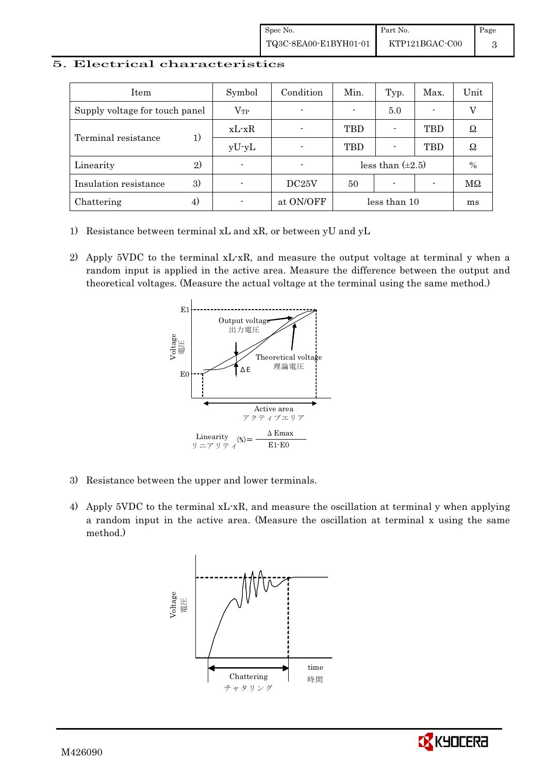#### 5. Electrical characteristics

| Item                           |    | Symbol       | Condition      | Min.       | Typ.                     | Max. | Unit |
|--------------------------------|----|--------------|----------------|------------|--------------------------|------|------|
| Supply voltage for touch panel |    | $\rm V_{TP}$ | $\blacksquare$ |            | 5.0                      |      |      |
|                                | 1) | $xL-xR$      |                | <b>TBD</b> |                          | TBD  | Ω    |
| Terminal resistance            |    | $yU-yL$      |                | <b>TBD</b> |                          | TBD  | Ω    |
| Linearity                      | 2) |              |                |            | less than $(\pm 2.5)$    |      | $\%$ |
| Insulation resistance          | 3) |              | DC25V          | 50         | $\overline{\phantom{0}}$ |      | MΩ   |
| Chattering                     | 4) |              | at ON/OFF      |            | less than 10             |      | ms   |

- 1) Resistance between terminal xL and xR, or between yU and yL
- 2) Apply 5VDC to the terminal xL-xR, and measure the output voltage at terminal y when a random input is applied in the active area. Measure the difference between the output and theoretical voltages. (Measure the actual voltage at the terminal using the same method.)



- 3) Resistance between the upper and lower terminals.
- 4) Apply 5VDC to the terminal xL-xR, and measure the oscillation at terminal y when applying a random input in the active area. (Measure the oscillation at terminal x using the same method.)



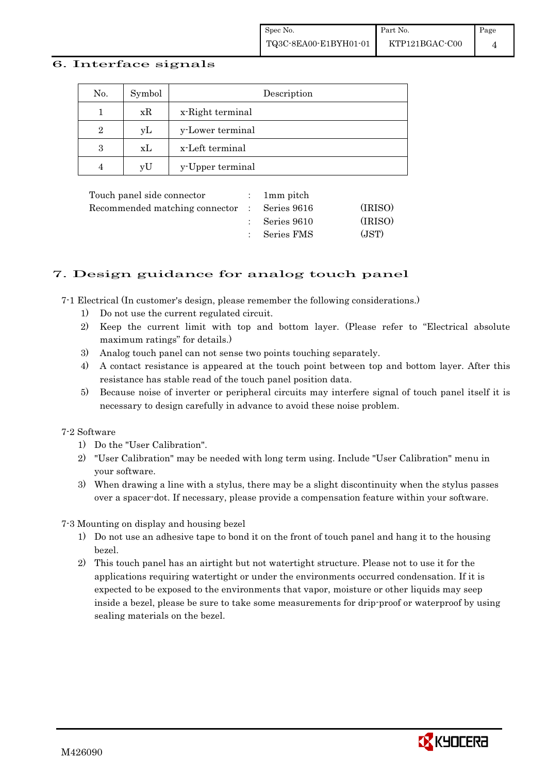#### 6. Interface signals

| No.            | Symbol | Description      |
|----------------|--------|------------------|
|                | xR     | x-Right terminal |
| $\overline{2}$ | уL     | y-Lower terminal |
| 3              | xL     | x-Left terminal  |
| $\overline{4}$ | vU     | y-Upper terminal |

| Touch panel side connector                   | $: 1mm$ pitch            |         |
|----------------------------------------------|--------------------------|---------|
| Recommended matching connector : Series 9616 |                          | (IRISO) |
|                                              | $\therefore$ Series 9610 | (IRISO) |
|                                              | : Series FMS             | (JST)   |
|                                              |                          |         |

#### 7. Design guidance for analog touch panel

7-1 Electrical (In customer's design, please remember the following considerations.)

- 1) Do not use the current regulated circuit.
- 2) Keep the current limit with top and bottom layer. (Please refer to "Electrical absolute maximum ratings" for details.)
- 3) Analog touch panel can not sense two points touching separately.
- 4) A contact resistance is appeared at the touch point between top and bottom layer. After this resistance has stable read of the touch panel position data.
- 5) Because noise of inverter or peripheral circuits may interfere signal of touch panel itself it is necessary to design carefully in advance to avoid these noise problem.

#### 7-2 Software

- 1) Do the "User Calibration".
- 2) "User Calibration" may be needed with long term using. Include "User Calibration" menu in your software.
- 3) When drawing a line with a stylus, there may be a slight discontinuity when the stylus passes over a spacer-dot. If necessary, please provide a compensation feature within your software.

7-3 Mounting on display and housing bezel

- 1) Do not use an adhesive tape to bond it on the front of touch panel and hang it to the housing bezel.
- 2) This touch panel has an airtight but not watertight structure. Please not to use it for the applications requiring watertight or under the environments occurred condensation. If it is expected to be exposed to the environments that vapor, moisture or other liquids may seep inside a bezel, please be sure to take some measurements for drip-proof or waterproof by using sealing materials on the bezel.

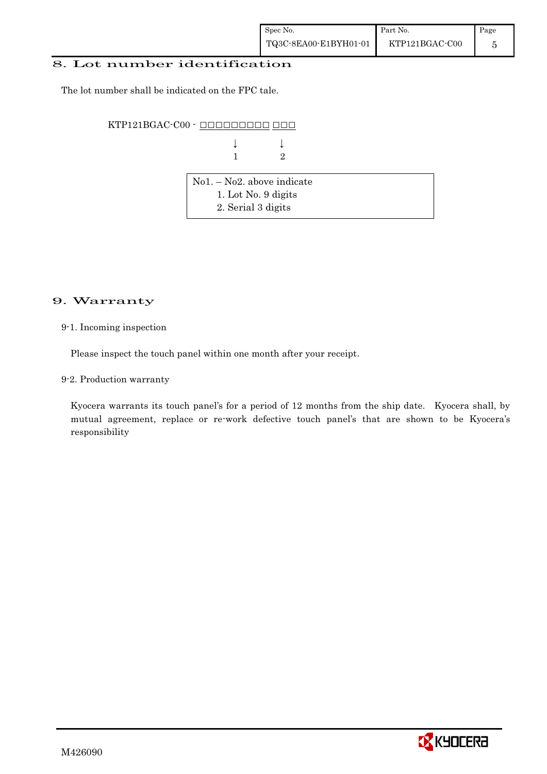#### 8. Lot number identification

The lot number shall be indicated on the FPC tale.

KTP121BGAC-C00 - ######### ###

 $\downarrow$   $\downarrow$   $\downarrow$ **1** 2

| $\vert$ No1. – No2. above indicate |  |
|------------------------------------|--|
| 1. Lot No. 9 digits                |  |
| 2. Serial 3 digits                 |  |

#### 9. Warranty

#### 9-1. Incoming inspection

Please inspect the touch panel within one month after your receipt.

9-2. Production warranty

! ! Kyocera warrants its touch panel's for a period of 12 months from the ship date. Kyocera shall, by mutual agreement, replace or re-work defective touch panel's that are shown to be Kyocera's responsibility

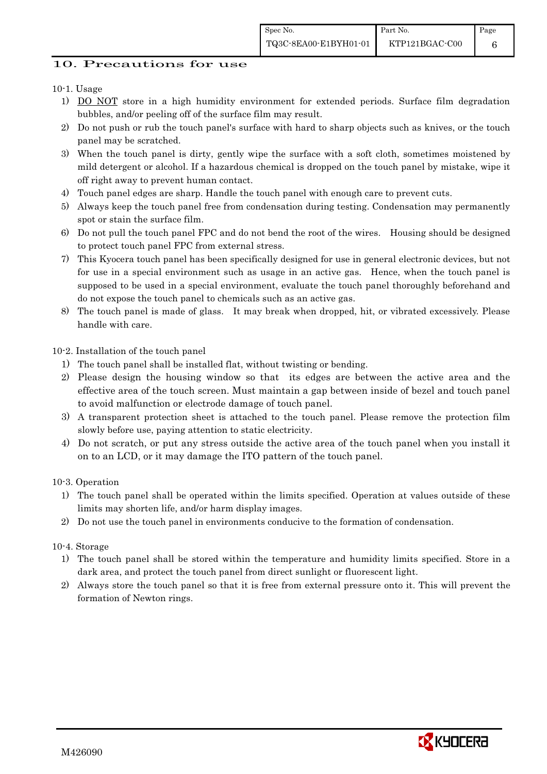## 10. Precautions for use

### 10-1. Usage

- 1) DO NOT store in a high humidity environment for extended periods. Surface film degradation bubbles, and/or peeling off of the surface film may result.
- 2) Do not push or rub the touch panel's surface with hard to sharp objects such as knives, or the touch panel may be scratched.
- 3) When the touch panel is dirty, gently wipe the surface with a soft cloth, sometimes moistened by mild detergent or alcohol. If a hazardous chemical is dropped on the touch panel by mistake, wipe it off right away to prevent human contact.
- 4) Touch panel edges are sharp. Handle the touch panel with enough care to prevent cuts.
- 5) Always keep the touch panel free from condensation during testing. Condensation may permanently spot or stain the surface film.
- 6) Do not pull the touch panel FPC and do not bend the root of the wires. Housing should be designed to protect touch panel FPC from external stress.
- 7) This Kyocera touch panel has been specifically designed for use in general electronic devices, but not for use in a special environment such as usage in an active gas. Hence, when the touch panel is supposed to be used in a special environment, evaluate the touch panel thoroughly beforehand and do not expose the touch panel to chemicals such as an active gas.
- 8) The touch panel is made of glass. It may break when dropped, hit, or vibrated excessively. Please handle with care.

10-2. Installation of the touch panel

- 1) The touch panel shall be installed flat, without twisting or bending.
- 2) Please design the housing window so that its edges are between the active area and the effective area of the touch screen. Must maintain a gap between inside of bezel and touch panel to avoid malfunction or electrode damage of touch panel.
- 3) A transparent protection sheet is attached to the touch panel. Please remove the protection film slowly before use, paying attention to static electricity.
- 4) Do not scratch, or put any stress outside the active area of the touch panel when you install it on to an LCD, or it may damage the ITO pattern of the touch panel.

10-3. Operation

- 1) The touch panel shall be operated within the limits specified. Operation at values outside of these limits may shorten life, and/or harm display images.
- 2) Do not use the touch panel in environments conducive to the formation of condensation.

10-4. Storage

- 1) The touch panel shall be stored within the temperature and humidity limits specified. Store in a dark area, and protect the touch panel from direct sunlight or fluorescent light.
- 2) Always store the touch panel so that it is free from external pressure onto it. This will prevent the formation of Newton rings.

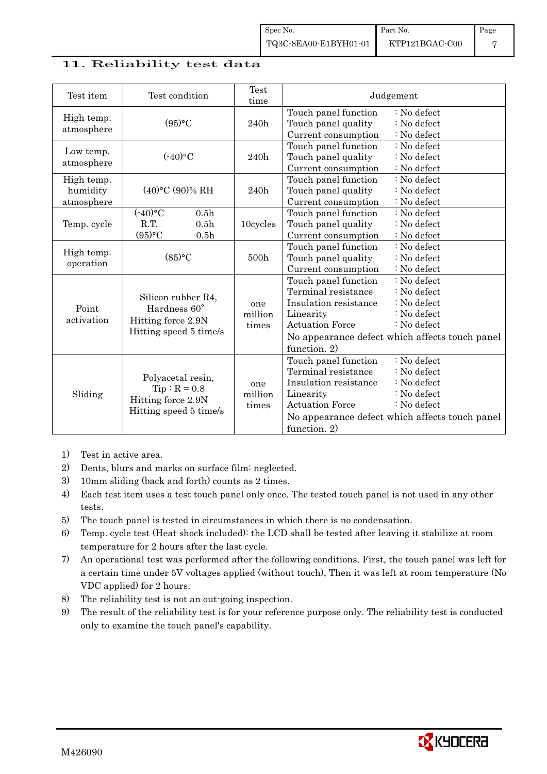#### 11. Reliability test data

| Test item                            | Test condition                                                                      |                                                          | Test<br>time            | Judgement                                                                                                                   |                                                                                                                                      |  |
|--------------------------------------|-------------------------------------------------------------------------------------|----------------------------------------------------------|-------------------------|-----------------------------------------------------------------------------------------------------------------------------|--------------------------------------------------------------------------------------------------------------------------------------|--|
| High temp.<br>atmosphere             | (95)°C                                                                              |                                                          | 240h                    | Touch panel function<br>Touch panel quality<br>Current consumption                                                          | : No defect<br>$:$ No defect<br>: No defect                                                                                          |  |
| Low temp.<br>atmosphere              | $(-40)$ °C                                                                          |                                                          | 240h                    | Touch panel function<br>Touch panel quality<br>Current consumption                                                          | : No defect<br>$\therefore$ No defect<br>: No defect                                                                                 |  |
| High temp.<br>humidity<br>atmosphere | $(40)$ °C $(90)$ % RH                                                               |                                                          | 240h                    | Touch panel function<br>Touch panel quality<br>Current consumption                                                          | : No defect<br>: No defect<br>: No defect                                                                                            |  |
| Temp. cycle                          | $(-40)$ °C<br>R.T.<br>(95)°C                                                        | 0.5 <sub>h</sub><br>0.5 <sub>h</sub><br>0.5 <sub>h</sub> | 10cycles                | Touch panel function<br>Touch panel quality<br>Current consumption                                                          | : No defect<br>: No defect<br>: No defect                                                                                            |  |
| High temp.<br>operation              | (85)°C                                                                              |                                                          | 500h                    | Touch panel function<br>Touch panel quality<br>Current consumption                                                          | : No defect<br>: No defect<br>: No defect                                                                                            |  |
| Point<br>activation                  | Silicon rubber R4,<br>Hardness 60°<br>Hitting force 2.9N<br>Hitting speed 5 time/s  |                                                          | one<br>million<br>times | Touch panel function<br>Terminal resistance<br>Insulation resistance<br>Linearity<br><b>Actuation Force</b><br>function. 2) | : No defect<br>: No defect<br>: No defect<br>: No defect<br>: No defect<br>No appearance defect which affects touch panel            |  |
| Sliding                              | Polyacetal resin,<br>$Tip: R = 0.8$<br>Hitting force 2.9N<br>Hitting speed 5 time/s |                                                          | one<br>million<br>times | Touch panel function<br>Terminal resistance<br>Insulation resistance<br>Linearity<br><b>Actuation Force</b><br>function. 2) | : No defect<br>$\therefore$ No defect<br>: No defect<br>: No defect<br>: No defect<br>No appearance defect which affects touch panel |  |

- 1) Test in active area.
- 2) Dents, blurs and marks on surface film: neglected.
- 3) 10mm sliding (back and forth) counts as 2 times.
- 4) Each test item uses a test touch panel only once. The tested touch panel is not used in any other tests.
- 5) The touch panel is tested in circumstances in which there is no condensation.
- 6) Temp. cycle test (Heat shock included): the LCD shall be tested after leaving it stabilize at room temperature for 2 hours after the last cycle.
- 7) An operational test was performed after the following conditions. First, the touch panel was left for a certain time under 5V voltages applied (without touch), Then it was left at room temperature (No VDC applied) for 2 hours.
- 8) The reliability test is not an out-going inspection.
- 9) The result of the reliability test is for your reference purpose only. The reliability test is conducted only to examine the touch panel's capability.